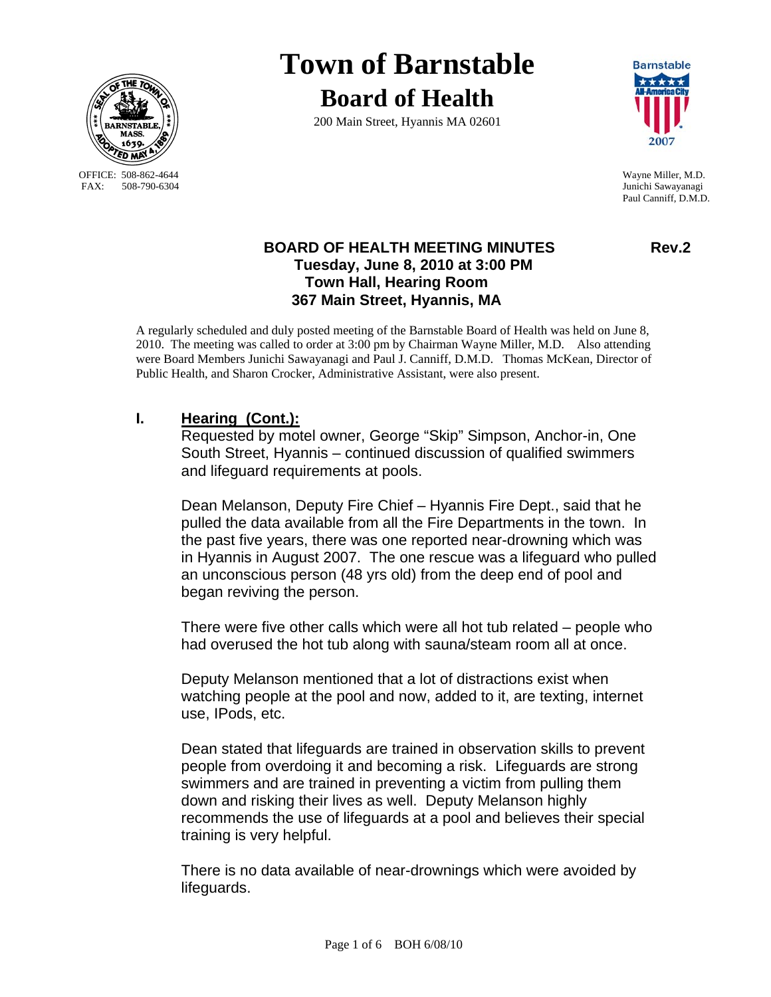

OFFICE: 508-862-4644 Wayne Miller, M.D.<br>
FAX: 508-790-6304 Junichi Sawayanagi

# **Town of Barnstable Board of Health**

200 Main Street, Hyannis MA 02601



Junichi Sawayanagi Paul Canniff, D.M.D.

## **BOARD OF HEALTH MEETING MINUTES Rev.2 Tuesday, June 8, 2010 at 3:00 PM Town Hall, Hearing Room 367 Main Street, Hyannis, MA**

A regularly scheduled and duly posted meeting of the Barnstable Board of Health was held on June 8, 2010. The meeting was called to order at 3:00 pm by Chairman Wayne Miller, M.D. Also attending were Board Members Junichi Sawayanagi and Paul J. Canniff, D.M.D. Thomas McKean, Director of Public Health, and Sharon Crocker, Administrative Assistant, were also present.

# **I. Hearing (Cont.):**

Requested by motel owner, George "Skip" Simpson, Anchor-in, One South Street, Hyannis – continued discussion of qualified swimmers and lifeguard requirements at pools.

Dean Melanson, Deputy Fire Chief – Hyannis Fire Dept., said that he pulled the data available from all the Fire Departments in the town. In the past five years, there was one reported near-drowning which was in Hyannis in August 2007. The one rescue was a lifeguard who pulled an unconscious person (48 yrs old) from the deep end of pool and began reviving the person.

There were five other calls which were all hot tub related – people who had overused the hot tub along with sauna/steam room all at once.

Deputy Melanson mentioned that a lot of distractions exist when watching people at the pool and now, added to it, are texting, internet use, IPods, etc.

Dean stated that lifeguards are trained in observation skills to prevent people from overdoing it and becoming a risk. Lifeguards are strong swimmers and are trained in preventing a victim from pulling them down and risking their lives as well. Deputy Melanson highly recommends the use of lifeguards at a pool and believes their special training is very helpful.

There is no data available of near-drownings which were avoided by lifeguards.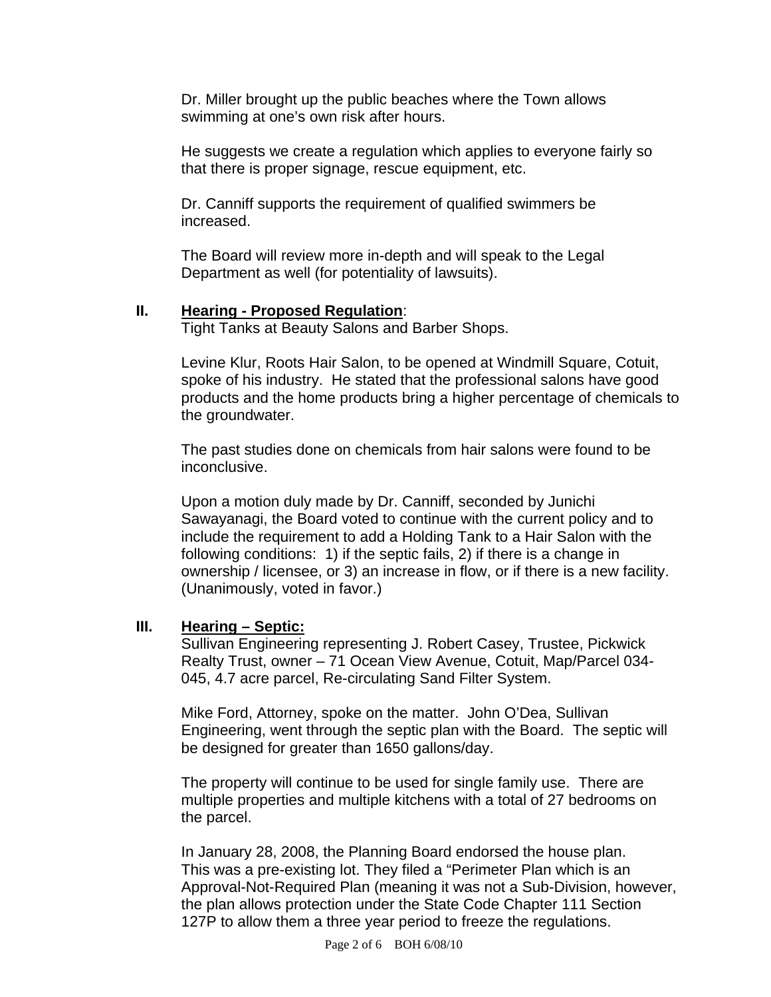Dr. Miller brought up the public beaches where the Town allows swimming at one's own risk after hours.

He suggests we create a regulation which applies to everyone fairly so that there is proper signage, rescue equipment, etc.

Dr. Canniff supports the requirement of qualified swimmers be increased.

The Board will review more in-depth and will speak to the Legal Department as well (for potentiality of lawsuits).

## **II. Hearing - Proposed Regulation**:

Tight Tanks at Beauty Salons and Barber Shops.

Levine Klur, Roots Hair Salon, to be opened at Windmill Square, Cotuit, spoke of his industry. He stated that the professional salons have good products and the home products bring a higher percentage of chemicals to the groundwater.

The past studies done on chemicals from hair salons were found to be inconclusive.

Upon a motion duly made by Dr. Canniff, seconded by Junichi Sawayanagi, the Board voted to continue with the current policy and to include the requirement to add a Holding Tank to a Hair Salon with the following conditions: 1) if the septic fails, 2) if there is a change in ownership / licensee, or 3) an increase in flow, or if there is a new facility. (Unanimously, voted in favor.)

## **III. Hearing – Septic:**

Sullivan Engineering representing J. Robert Casey, Trustee, Pickwick Realty Trust, owner – 71 Ocean View Avenue, Cotuit, Map/Parcel 034- 045, 4.7 acre parcel, Re-circulating Sand Filter System.

Mike Ford, Attorney, spoke on the matter. John O'Dea, Sullivan Engineering, went through the septic plan with the Board. The septic will be designed for greater than 1650 gallons/day.

The property will continue to be used for single family use. There are multiple properties and multiple kitchens with a total of 27 bedrooms on the parcel.

In January 28, 2008, the Planning Board endorsed the house plan. This was a pre-existing lot. They filed a "Perimeter Plan which is an Approval-Not-Required Plan (meaning it was not a Sub-Division, however, the plan allows protection under the State Code Chapter 111 Section 127P to allow them a three year period to freeze the regulations.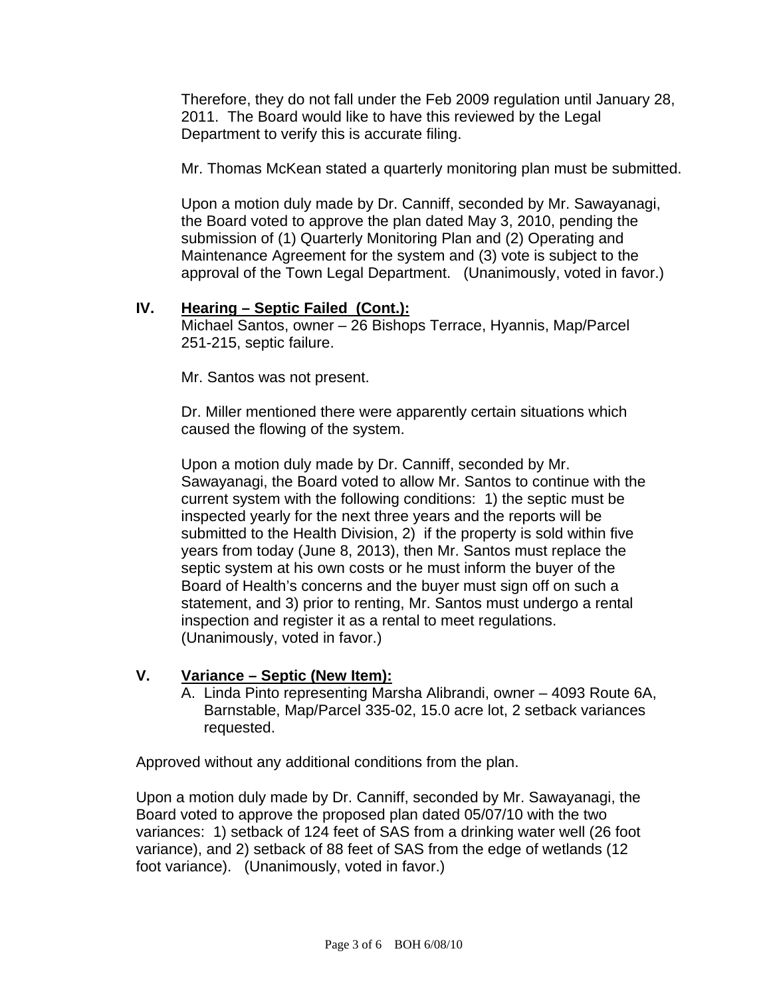Therefore, they do not fall under the Feb 2009 regulation until January 28, 2011. The Board would like to have this reviewed by the Legal Department to verify this is accurate filing.

Mr. Thomas McKean stated a quarterly monitoring plan must be submitted.

Upon a motion duly made by Dr. Canniff, seconded by Mr. Sawayanagi, the Board voted to approve the plan dated May 3, 2010, pending the submission of (1) Quarterly Monitoring Plan and (2) Operating and Maintenance Agreement for the system and (3) vote is subject to the approval of the Town Legal Department. (Unanimously, voted in favor.)

## **IV. Hearing – Septic Failed (Cont.):**

Michael Santos, owner – 26 Bishops Terrace, Hyannis, Map/Parcel 251-215, septic failure.

Mr. Santos was not present.

Dr. Miller mentioned there were apparently certain situations which caused the flowing of the system.

Upon a motion duly made by Dr. Canniff, seconded by Mr. Sawayanagi, the Board voted to allow Mr. Santos to continue with the current system with the following conditions: 1) the septic must be inspected yearly for the next three years and the reports will be submitted to the Health Division, 2) if the property is sold within five years from today (June 8, 2013), then Mr. Santos must replace the septic system at his own costs or he must inform the buyer of the Board of Health's concerns and the buyer must sign off on such a statement, and 3) prior to renting, Mr. Santos must undergo a rental inspection and register it as a rental to meet regulations. (Unanimously, voted in favor.)

# **V. Variance – Septic (New Item):**

A. Linda Pinto representing Marsha Alibrandi, owner – 4093 Route 6A, Barnstable, Map/Parcel 335-02, 15.0 acre lot, 2 setback variances requested.

Approved without any additional conditions from the plan.

Upon a motion duly made by Dr. Canniff, seconded by Mr. Sawayanagi, the Board voted to approve the proposed plan dated 05/07/10 with the two variances: 1) setback of 124 feet of SAS from a drinking water well (26 foot variance), and 2) setback of 88 feet of SAS from the edge of wetlands (12 foot variance). (Unanimously, voted in favor.)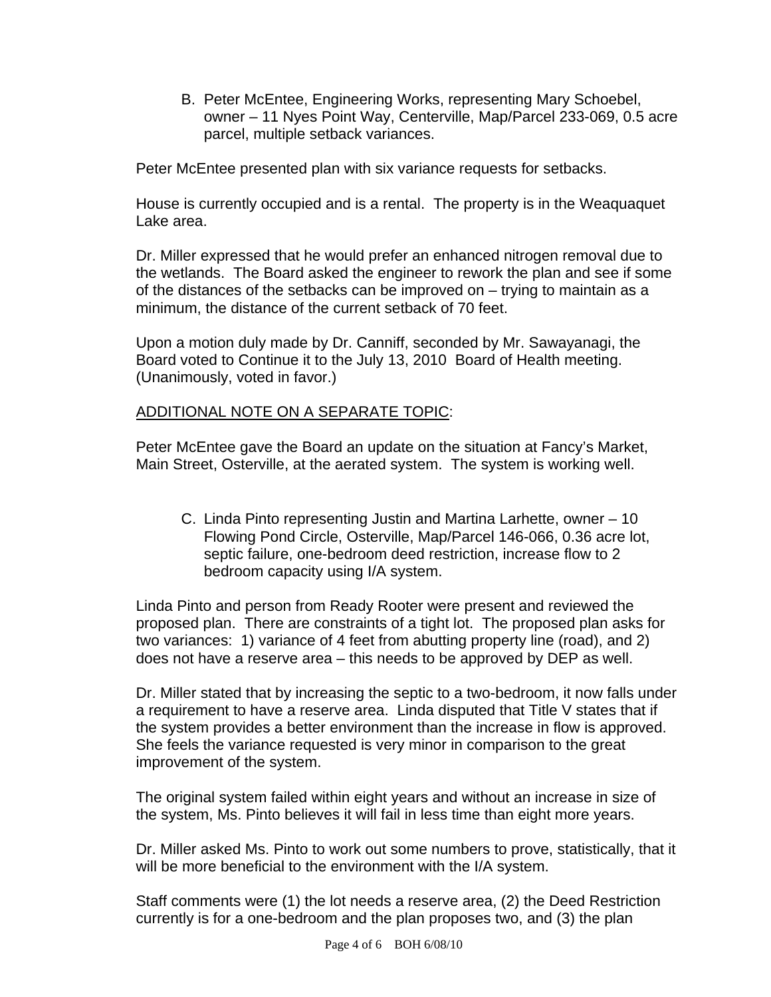B. Peter McEntee, Engineering Works, representing Mary Schoebel, owner – 11 Nyes Point Way, Centerville, Map/Parcel 233-069, 0.5 acre parcel, multiple setback variances.

Peter McEntee presented plan with six variance requests for setbacks.

House is currently occupied and is a rental. The property is in the Weaquaquet Lake area.

Dr. Miller expressed that he would prefer an enhanced nitrogen removal due to the wetlands. The Board asked the engineer to rework the plan and see if some of the distances of the setbacks can be improved on – trying to maintain as a minimum, the distance of the current setback of 70 feet.

Upon a motion duly made by Dr. Canniff, seconded by Mr. Sawayanagi, the Board voted to Continue it to the July 13, 2010 Board of Health meeting. (Unanimously, voted in favor.)

## ADDITIONAL NOTE ON A SEPARATE TOPIC:

Peter McEntee gave the Board an update on the situation at Fancy's Market, Main Street, Osterville, at the aerated system. The system is working well.

C. Linda Pinto representing Justin and Martina Larhette, owner – 10 Flowing Pond Circle, Osterville, Map/Parcel 146-066, 0.36 acre lot, septic failure, one-bedroom deed restriction, increase flow to 2 bedroom capacity using I/A system.

Linda Pinto and person from Ready Rooter were present and reviewed the proposed plan. There are constraints of a tight lot. The proposed plan asks for two variances: 1) variance of 4 feet from abutting property line (road), and 2) does not have a reserve area – this needs to be approved by DEP as well.

Dr. Miller stated that by increasing the septic to a two-bedroom, it now falls under a requirement to have a reserve area. Linda disputed that Title V states that if the system provides a better environment than the increase in flow is approved. She feels the variance requested is very minor in comparison to the great improvement of the system.

The original system failed within eight years and without an increase in size of the system, Ms. Pinto believes it will fail in less time than eight more years.

Dr. Miller asked Ms. Pinto to work out some numbers to prove, statistically, that it will be more beneficial to the environment with the I/A system.

Staff comments were (1) the lot needs a reserve area, (2) the Deed Restriction currently is for a one-bedroom and the plan proposes two, and (3) the plan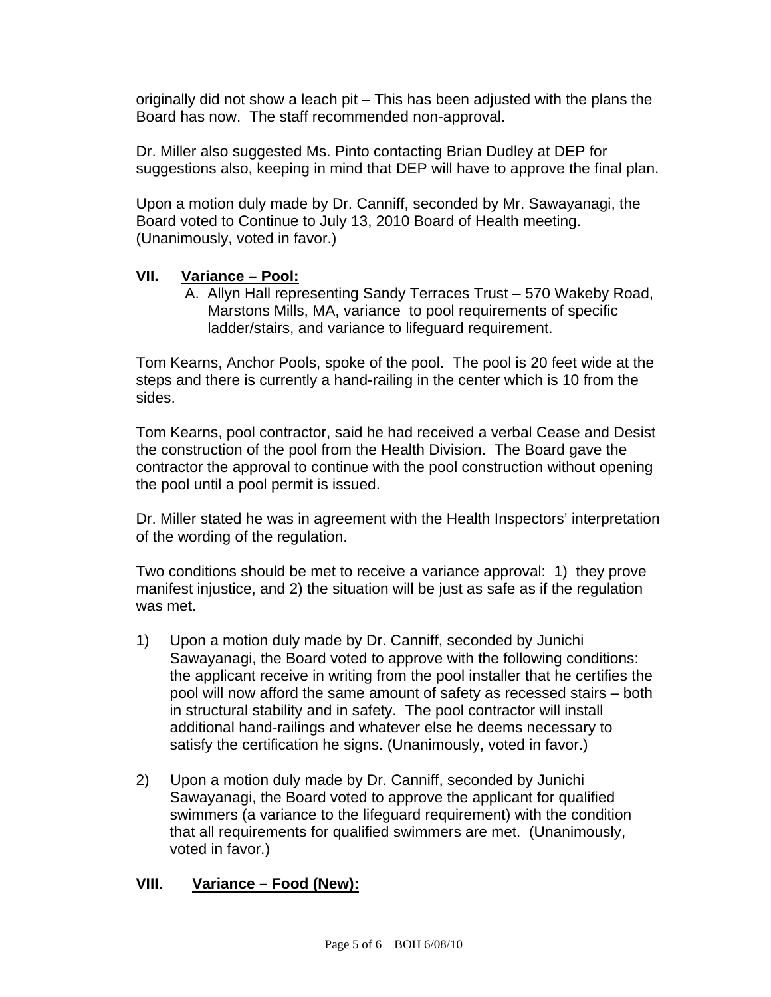originally did not show a leach pit – This has been adjusted with the plans the Board has now. The staff recommended non-approval.

Dr. Miller also suggested Ms. Pinto contacting Brian Dudley at DEP for suggestions also, keeping in mind that DEP will have to approve the final plan.

Upon a motion duly made by Dr. Canniff, seconded by Mr. Sawayanagi, the Board voted to Continue to July 13, 2010 Board of Health meeting. (Unanimously, voted in favor.)

## **VII. Variance – Pool:**

A. Allyn Hall representing Sandy Terraces Trust – 570 Wakeby Road, Marstons Mills, MA, variance to pool requirements of specific ladder/stairs, and variance to lifeguard requirement.

Tom Kearns, Anchor Pools, spoke of the pool. The pool is 20 feet wide at the steps and there is currently a hand-railing in the center which is 10 from the sides.

Tom Kearns, pool contractor, said he had received a verbal Cease and Desist the construction of the pool from the Health Division. The Board gave the contractor the approval to continue with the pool construction without opening the pool until a pool permit is issued.

Dr. Miller stated he was in agreement with the Health Inspectors' interpretation of the wording of the regulation.

Two conditions should be met to receive a variance approval: 1) they prove manifest injustice, and 2) the situation will be just as safe as if the regulation was met.

- 1) Upon a motion duly made by Dr. Canniff, seconded by Junichi Sawayanagi, the Board voted to approve with the following conditions: the applicant receive in writing from the pool installer that he certifies the pool will now afford the same amount of safety as recessed stairs – both in structural stability and in safety. The pool contractor will install additional hand-railings and whatever else he deems necessary to satisfy the certification he signs. (Unanimously, voted in favor.)
- 2) Upon a motion duly made by Dr. Canniff, seconded by Junichi Sawayanagi, the Board voted to approve the applicant for qualified swimmers (a variance to the lifeguard requirement) with the condition that all requirements for qualified swimmers are met. (Unanimously, voted in favor.)

## **VIII**. **Variance – Food (New):**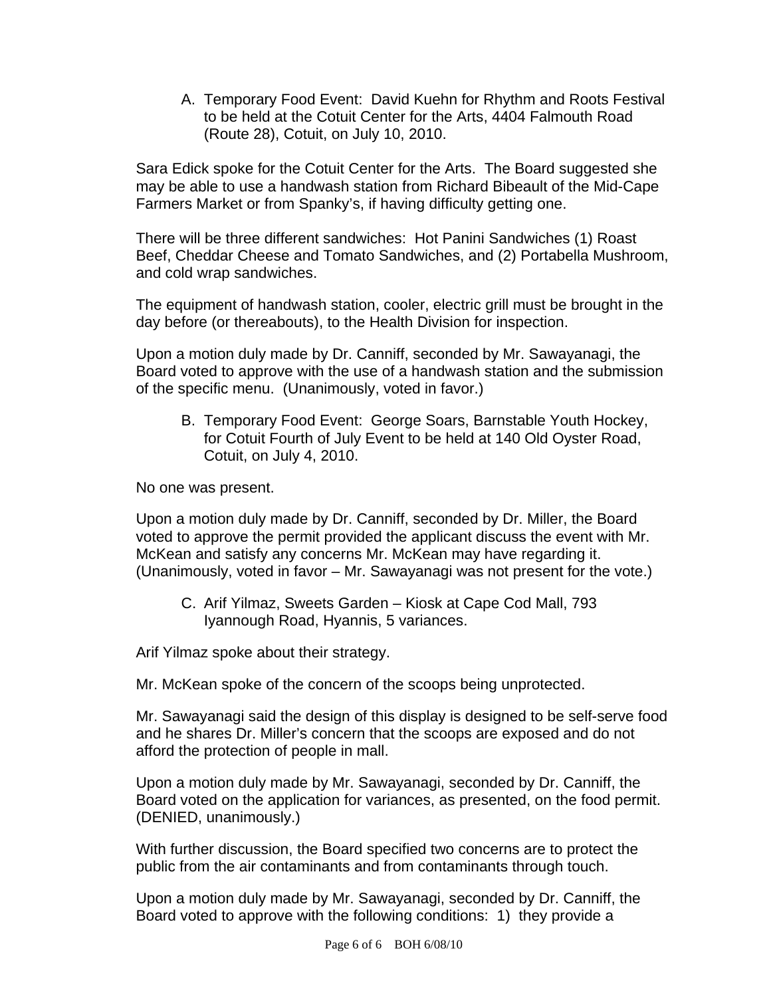A. Temporary Food Event: David Kuehn for Rhythm and Roots Festival to be held at the Cotuit Center for the Arts, 4404 Falmouth Road (Route 28), Cotuit, on July 10, 2010.

Sara Edick spoke for the Cotuit Center for the Arts. The Board suggested she may be able to use a handwash station from Richard Bibeault of the Mid-Cape Farmers Market or from Spanky's, if having difficulty getting one.

There will be three different sandwiches: Hot Panini Sandwiches (1) Roast Beef, Cheddar Cheese and Tomato Sandwiches, and (2) Portabella Mushroom, and cold wrap sandwiches.

The equipment of handwash station, cooler, electric grill must be brought in the day before (or thereabouts), to the Health Division for inspection.

Upon a motion duly made by Dr. Canniff, seconded by Mr. Sawayanagi, the Board voted to approve with the use of a handwash station and the submission of the specific menu. (Unanimously, voted in favor.)

B. Temporary Food Event: George Soars, Barnstable Youth Hockey, for Cotuit Fourth of July Event to be held at 140 Old Oyster Road, Cotuit, on July 4, 2010.

No one was present.

Upon a motion duly made by Dr. Canniff, seconded by Dr. Miller, the Board voted to approve the permit provided the applicant discuss the event with Mr. McKean and satisfy any concerns Mr. McKean may have regarding it. (Unanimously, voted in favor – Mr. Sawayanagi was not present for the vote.)

C. Arif Yilmaz, Sweets Garden – Kiosk at Cape Cod Mall, 793 Iyannough Road, Hyannis, 5 variances.

Arif Yilmaz spoke about their strategy.

Mr. McKean spoke of the concern of the scoops being unprotected.

Mr. Sawayanagi said the design of this display is designed to be self-serve food and he shares Dr. Miller's concern that the scoops are exposed and do not afford the protection of people in mall.

Upon a motion duly made by Mr. Sawayanagi, seconded by Dr. Canniff, the Board voted on the application for variances, as presented, on the food permit. (DENIED, unanimously.)

With further discussion, the Board specified two concerns are to protect the public from the air contaminants and from contaminants through touch.

Upon a motion duly made by Mr. Sawayanagi, seconded by Dr. Canniff, the Board voted to approve with the following conditions: 1) they provide a